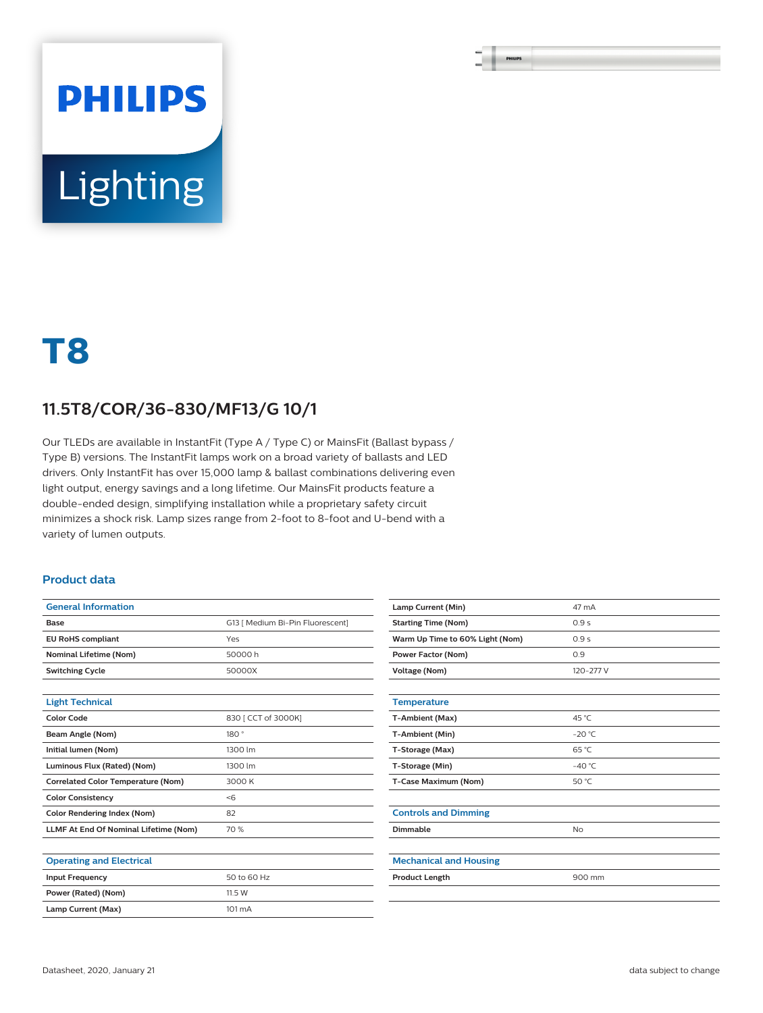# **PHILIPS** Lighting

## **T8**

### **11.5T8/COR/36-830/MF13/G 10/1**

Our TLEDs are available in InstantFit (Type A / Type C) or MainsFit (Ballast bypass / Type B) versions. The InstantFit lamps work on a broad variety of ballasts and LED drivers. Only InstantFit has over 15,000 lamp & ballast combinations delivering even light output, energy savings and a long lifetime. Our MainsFit products feature a double-ended design, simplifying installation while a proprietary safety circuit minimizes a shock risk. Lamp sizes range from 2-foot to 8-foot and U-bend with a variety of lumen outputs.

#### **Product data**

| <b>General Information</b>                   |                                  |  |  |
|----------------------------------------------|----------------------------------|--|--|
| Base                                         | G13   Medium Bi-Pin Fluorescent] |  |  |
| <b>EU RoHS compliant</b>                     | Yes                              |  |  |
| <b>Nominal Lifetime (Nom)</b>                | 50000h                           |  |  |
| <b>Switching Cycle</b>                       | 50000X                           |  |  |
|                                              |                                  |  |  |
| <b>Light Technical</b>                       |                                  |  |  |
| <b>Color Code</b>                            | 830   CCT of 3000K]              |  |  |
| Beam Angle (Nom)                             | 180°                             |  |  |
| Initial lumen (Nom)                          | 1300 lm                          |  |  |
| Luminous Flux (Rated) (Nom)                  | 1300 lm                          |  |  |
| <b>Correlated Color Temperature (Nom)</b>    | 3000 K                           |  |  |
| <b>Color Consistency</b>                     | < 6                              |  |  |
| <b>Color Rendering Index (Nom)</b>           | 82                               |  |  |
| <b>LLMF At End Of Nominal Lifetime (Nom)</b> | 70 %                             |  |  |
|                                              |                                  |  |  |
| <b>Operating and Electrical</b>              |                                  |  |  |
| <b>Input Frequency</b>                       | 50 to 60 Hz                      |  |  |
| Power (Rated) (Nom)                          | 11.5 W                           |  |  |
| Lamp Current (Max)                           | 101 mA                           |  |  |
|                                              |                                  |  |  |

| Lamp Current (Min)              | 47 mA           |
|---------------------------------|-----------------|
| <b>Starting Time (Nom)</b>      | 0.9s            |
| Warm Up Time to 60% Light (Nom) | 0.9s            |
| Power Factor (Nom)              | 0.9             |
| <b>Voltage (Nom)</b>            | 120-277 V       |
|                                 |                 |
| <b>Temperature</b>              |                 |
| <b>T-Ambient (Max)</b>          | 45 °C           |
| T-Ambient (Min)                 | $-20 °C$        |
| T-Storage (Max)                 | 65 °C           |
| T-Storage (Min)                 | $-40^{\circ}$ C |
| T-Case Maximum (Nom)            | 50 °C           |
|                                 |                 |
| <b>Controls and Dimming</b>     |                 |
| Dimmable                        | <b>No</b>       |
|                                 |                 |
| <b>Mechanical and Housing</b>   |                 |
| <b>Product Length</b>           | 900 mm          |
|                                 |                 |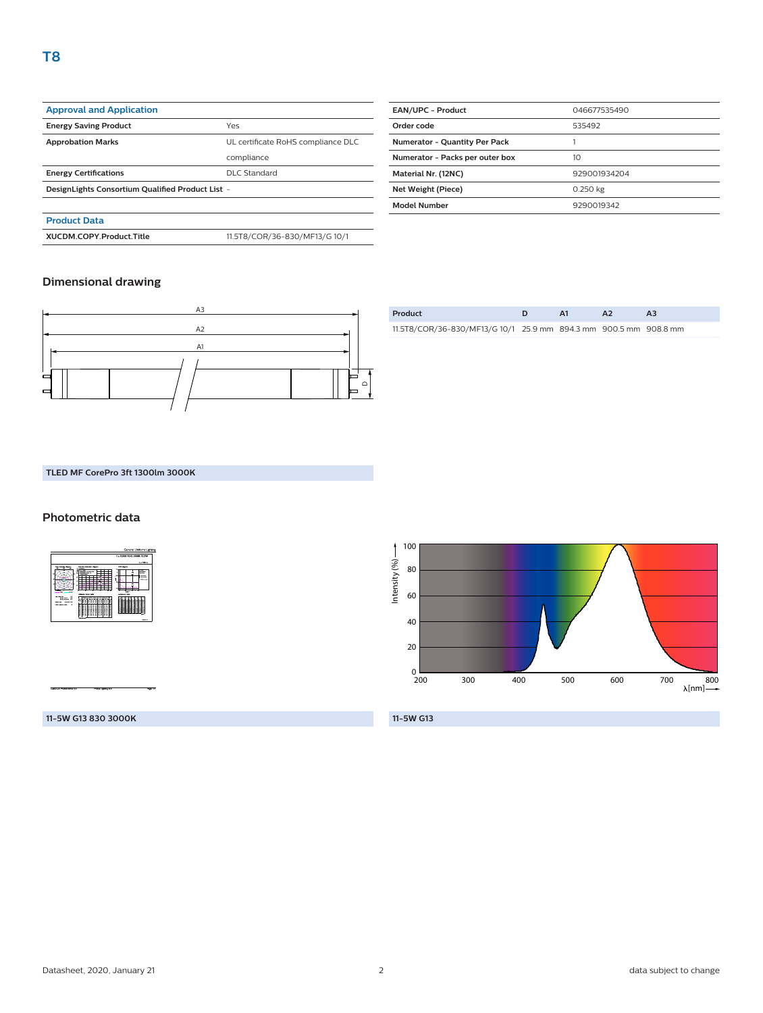| <b>Approval and Application</b>                  |                                    |  |
|--------------------------------------------------|------------------------------------|--|
| <b>Energy Saving Product</b>                     | Yes                                |  |
| <b>Approbation Marks</b>                         | UL certificate RoHS compliance DLC |  |
|                                                  | compliance                         |  |
| <b>Energy Certifications</b>                     | <b>DLC Standard</b>                |  |
| DesignLights Consortium Qualified Product List - |                                    |  |
|                                                  |                                    |  |
| <b>Product Data</b>                              |                                    |  |

**XUCDM.COPY.Product.Title** 11.5T8/COR/36-830/MF13/G 10/1

| <b>EAN/UPC - Product</b>             | 046677535490 |  |
|--------------------------------------|--------------|--|
| Order code                           | 535492       |  |
| <b>Numerator - Quantity Per Pack</b> |              |  |
| Numerator - Packs per outer box      | 10           |  |
| Material Nr. (12NC)                  | 929001934204 |  |
| Net Weight (Piece)                   | 0.250 kg     |  |
| <b>Model Number</b>                  | 9290019342   |  |
|                                      |              |  |

#### **Dimensional drawing**



| Product                                                          |  | $\mathbf{A}$ |  |
|------------------------------------------------------------------|--|--------------|--|
| 11.5T8/COR/36-830/MF13/G 10/1 25.9 mm 894.3 mm 900.5 mm 908.8 mm |  |              |  |

#### **TLED MF CorePro 3ft 1300lm 3000K**

#### **Photometric data**



Intensity (%)-Intensity (%) 80 60 40 20  $0\frac{1}{200}$ 200 300 400 500 600 700 800 [nm] **11-5W G13**

#### **11-5W G13 830 3000K**

100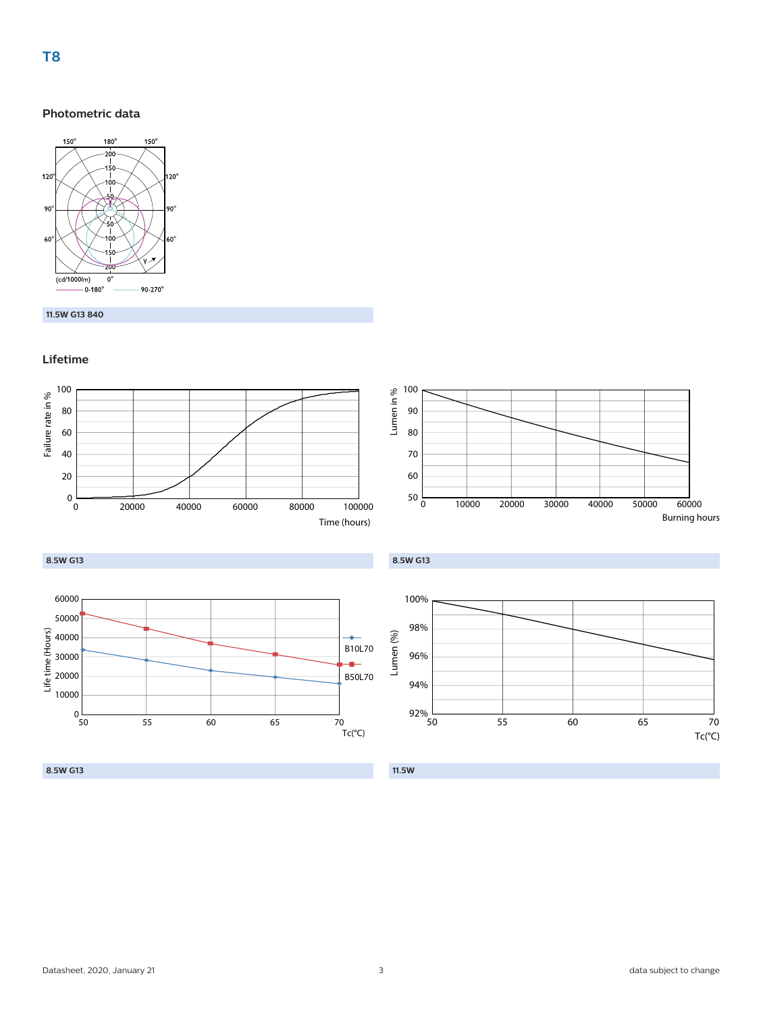#### **Photometric data**



#### **11.5W G13 840**

#### **Lifetime**



**T8**